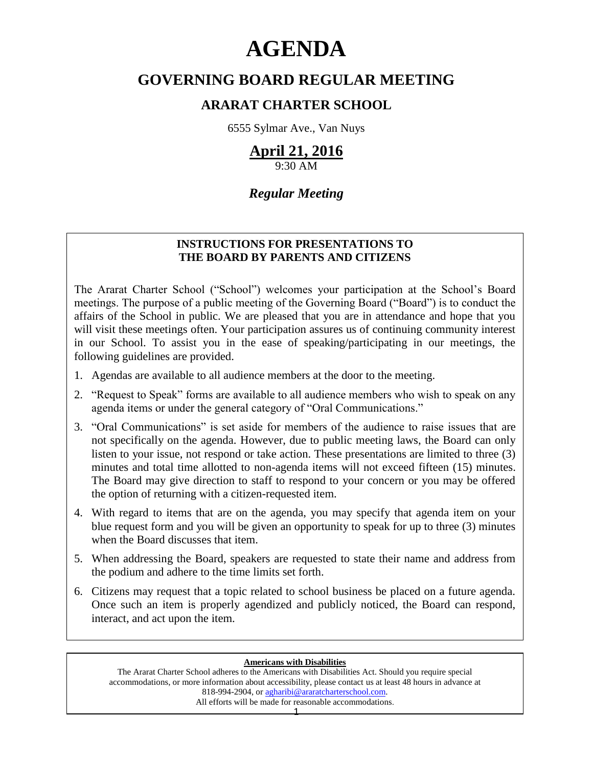# **AGENDA**

# **GOVERNING BOARD REGULAR MEETING**

# **ARARAT CHARTER SCHOOL**

6555 Sylmar Ave., Van Nuys

# **April 21, 2016**

9:30 AM

# *Regular Meeting*

### **INSTRUCTIONS FOR PRESENTATIONS TO THE BOARD BY PARENTS AND CITIZENS**

The Ararat Charter School ("School") welcomes your participation at the School's Board meetings. The purpose of a public meeting of the Governing Board ("Board") is to conduct the affairs of the School in public. We are pleased that you are in attendance and hope that you will visit these meetings often. Your participation assures us of continuing community interest in our School. To assist you in the ease of speaking/participating in our meetings, the following guidelines are provided.

- 1. Agendas are available to all audience members at the door to the meeting.
- 2. "Request to Speak" forms are available to all audience members who wish to speak on any agenda items or under the general category of "Oral Communications."
- 3. "Oral Communications" is set aside for members of the audience to raise issues that are not specifically on the agenda. However, due to public meeting laws, the Board can only listen to your issue, not respond or take action. These presentations are limited to three (3) minutes and total time allotted to non-agenda items will not exceed fifteen (15) minutes. The Board may give direction to staff to respond to your concern or you may be offered the option of returning with a citizen-requested item.
- 4. With regard to items that are on the agenda, you may specify that agenda item on your blue request form and you will be given an opportunity to speak for up to three (3) minutes when the Board discusses that item.
- 5. When addressing the Board, speakers are requested to state their name and address from the podium and adhere to the time limits set forth.
- 6. Citizens may request that a topic related to school business be placed on a future agenda. Once such an item is properly agendized and publicly noticed, the Board can respond, interact, and act upon the item.

#### **Americans with Disabilities**

The Ararat Charter School adheres to the Americans with Disabilities Act. Should you require special accommodations, or more information about accessibility, please contact us at least 48 hours in advance at 818-994-2904, or [agharibi@araratcharterschool.com.](mailto:agharibi@araratcharterschool.com)  All efforts will be made for reasonable accommodations.

1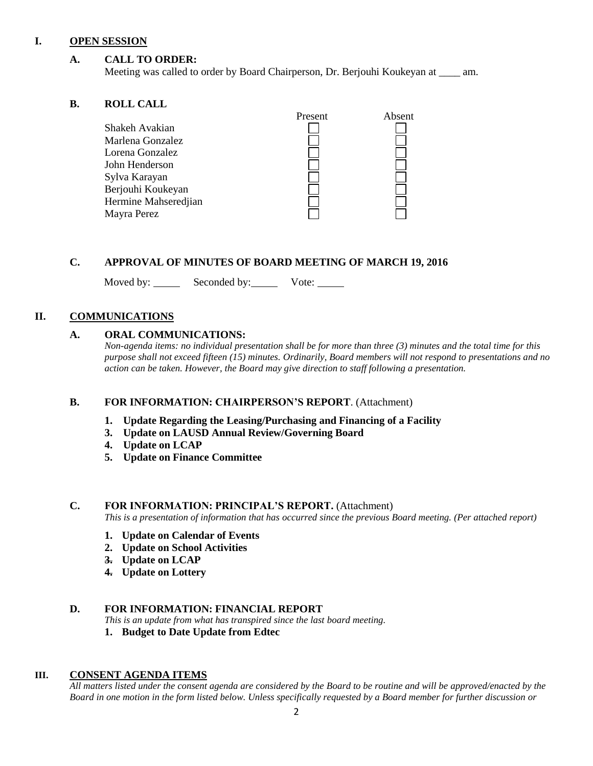#### **I. OPEN SESSION**

#### **A. CALL TO ORDER:**

Meeting was called to order by Board Chairperson, Dr. Berjouhi Koukeyan at \_\_\_\_ am.

#### **B. ROLL CALL**

| Absent  |
|---------|
|         |
|         |
|         |
|         |
|         |
|         |
|         |
|         |
|         |
| Present |

#### **C. APPROVAL OF MINUTES OF BOARD MEETING OF MARCH 19, 2016**

Moved by: Seconded by: Vote: Vote:

#### **II. COMMUNICATIONS**

#### **A. ORAL COMMUNICATIONS:**

*Non-agenda items: no individual presentation shall be for more than three (3) minutes and the total time for this purpose shall not exceed fifteen (15) minutes. Ordinarily, Board members will not respond to presentations and no action can be taken. However, the Board may give direction to staff following a presentation.*

#### **B. FOR INFORMATION: CHAIRPERSON'S REPORT**. (Attachment)

- **1. Update Regarding the Leasing/Purchasing and Financing of a Facility**
- **3. Update on LAUSD Annual Review/Governing Board**
- **4. Update on LCAP**
- **5. Update on Finance Committee**

#### **C. FOR INFORMATION: PRINCIPAL'S REPORT.** (Attachment)

*This is a presentation of information that has occurred since the previous Board meeting. (Per attached report)*

- **1. Update on Calendar of Events**
- **2. Update on School Activities**
- **3. Update on LCAP**
- **4. Update on Lottery**

#### **D. FOR INFORMATION: FINANCIAL REPORT**

- *This is an update from what has transpired since the last board meeting.*
- **1. Budget to Date Update from Edtec**

#### **III. CONSENT AGENDA ITEMS**

*All matters listed under the consent agenda are considered by the Board to be routine and will be approved/enacted by the Board in one motion in the form listed below. Unless specifically requested by a Board member for further discussion or*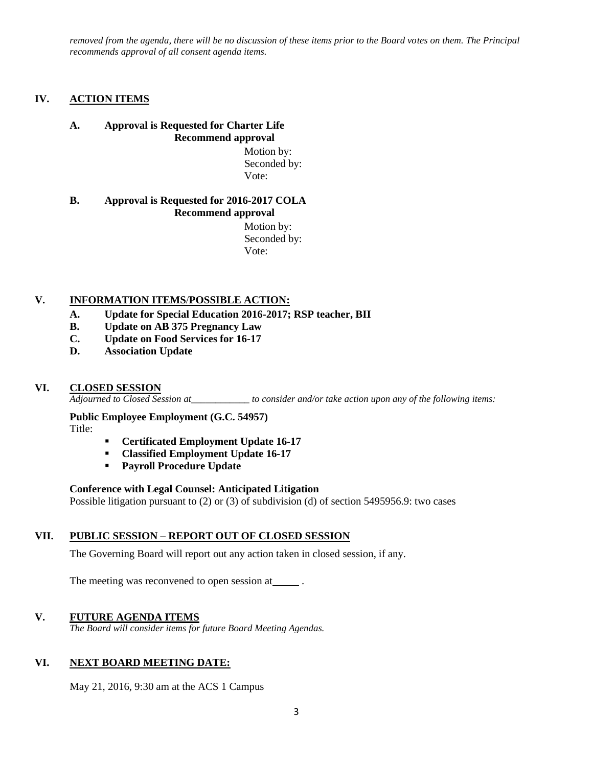*removed from the agenda, there will be no discussion of these items prior to the Board votes on them. The Principal recommends approval of all consent agenda items.*

#### **IV. ACTION ITEMS**

#### **A. Approval is Requested for Charter Life Recommend approval**

 Motion by: Seconded by: Vote:

#### **B. Approval is Requested for 2016-2017 COLA Recommend approval**

 Motion by: Seconded by: Vote:

#### **V. INFORMATION ITEMS**/**POSSIBLE ACTION:**

- **A. Update for Special Education 2016-2017; RSP teacher, BII**
- **B. Update on AB 375 Pregnancy Law**
- **C. Update on Food Services for 16-17**
- **D. Association Update**

#### **VI. CLOSED SESSION**

*Adjourned to Closed Session at\_\_\_\_\_\_\_\_\_\_\_\_ to consider and/or take action upon any of the following items:*

#### **Public Employee Employment (G.C. 54957)**

Title:

- **Certificated Employment Update 16-17**
- **Classified Employment Update 16-17**
- **Payroll Procedure Update**

#### **Conference with Legal Counsel: Anticipated Litigation**

Possible litigation pursuant to (2) or (3) of subdivision (d) of section 5495956.9: two cases

#### **VII. PUBLIC SESSION – REPORT OUT OF CLOSED SESSION**

The Governing Board will report out any action taken in closed session, if any.

The meeting was reconvened to open session at .

#### **V. FUTURE AGENDA ITEMS**

*The Board will consider items for future Board Meeting Agendas.*

#### **VI. NEXT BOARD MEETING DATE:**

May 21, 2016, 9:30 am at the ACS 1 Campus